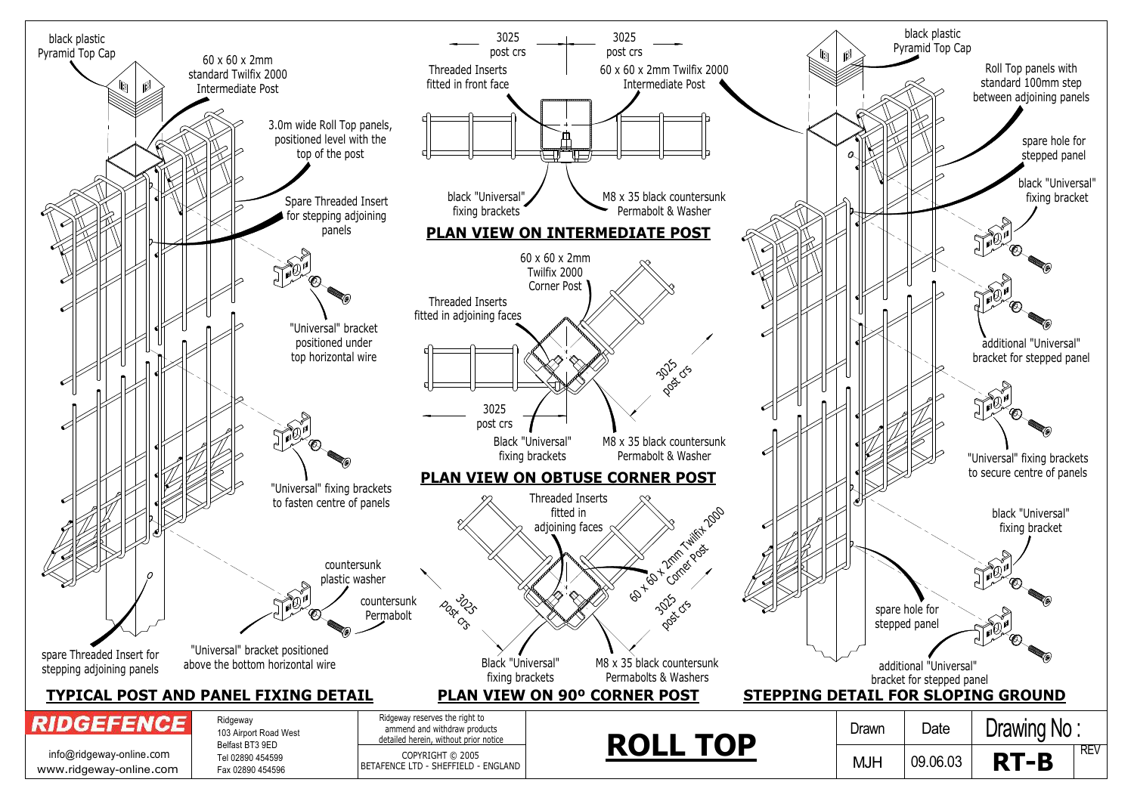